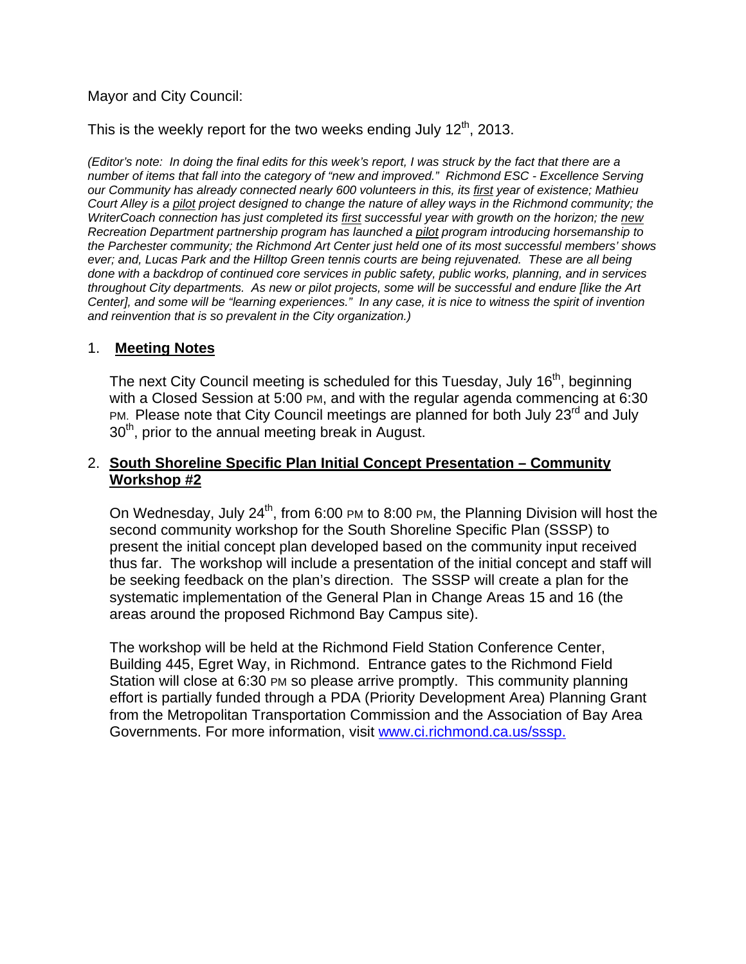## Mayor and City Council:

This is the weekly report for the two weeks ending July  $12<sup>th</sup>$ , 2013.

*(Editor's note: In doing the final edits for this week's report, I was struck by the fact that there are a number of items that fall into the category of "new and improved." Richmond ESC - Excellence Serving our Community has already connected nearly 600 volunteers in this, its first year of existence; Mathieu Court Alley is a pilot project designed to change the nature of alley ways in the Richmond community; the WriterCoach connection has just completed its first successful year with growth on the horizon; the new Recreation Department partnership program has launched a pilot program introducing horsemanship to the Parchester community; the Richmond Art Center just held one of its most successful members' shows ever; and, Lucas Park and the Hilltop Green tennis courts are being rejuvenated. These are all being done with a backdrop of continued core services in public safety, public works, planning, and in services throughout City departments. As new or pilot projects, some will be successful and endure [like the Art Center], and some will be "learning experiences." In any case, it is nice to witness the spirit of invention and reinvention that is so prevalent in the City organization.)* 

#### 1. **Meeting Notes**

The next City Council meeting is scheduled for this Tuesday, July 16<sup>th</sup>, beginning with a Closed Session at 5:00 PM, and with the regular agenda commencing at 6:30 PM. Please note that City Council meetings are planned for both July  $23<sup>rd</sup>$  and July  $30<sup>th</sup>$ , prior to the annual meeting break in August.

### 2. **South Shoreline Specific Plan Initial Concept Presentation – Community Workshop #2**

On Wednesday, July  $24^{th}$ , from 6:00 PM to 8:00 PM, the Planning Division will host the second community workshop for the South Shoreline Specific Plan (SSSP) to present the initial concept plan developed based on the community input received thus far. The workshop will include a presentation of the initial concept and staff will be seeking feedback on the plan's direction. The SSSP will create a plan for the systematic implementation of the General Plan in Change Areas 15 and 16 (the areas around the proposed Richmond Bay Campus site).

The workshop will be held at the Richmond Field Station Conference Center, Building 445, Egret Way, in Richmond. Entrance gates to the Richmond Field Station will close at 6:30 PM so please arrive promptly. This community planning effort is partially funded through a PDA (Priority Development Area) Planning Grant from the Metropolitan Transportation Commission and the Association of Bay Area Governments. For more information, visit www.ci.richmond.ca.us/sssp.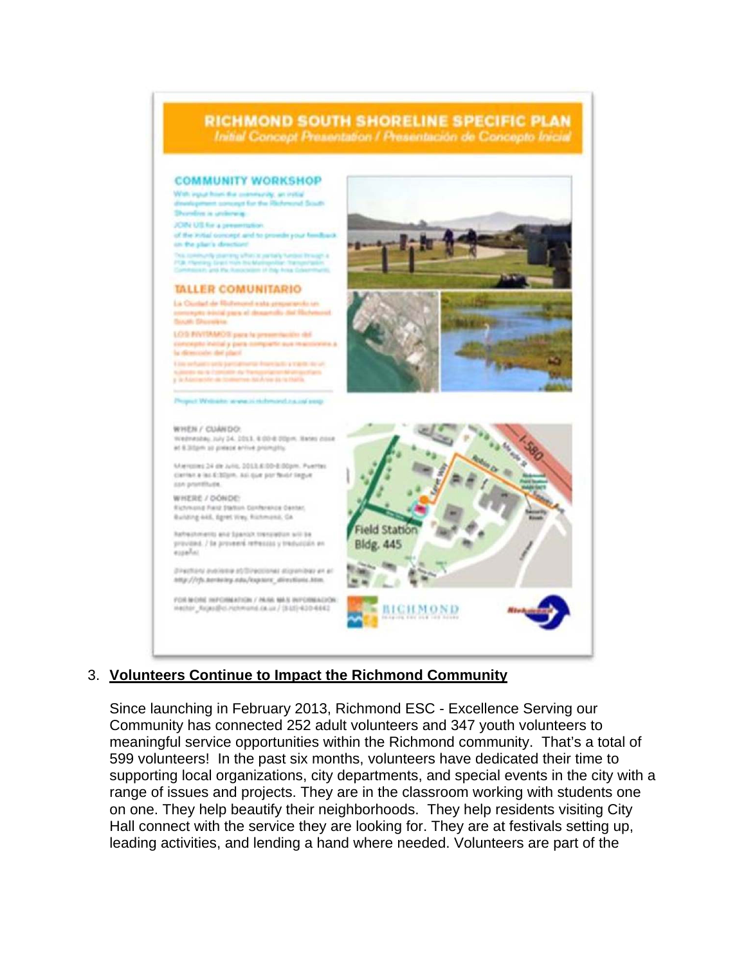

## 3. **Volunteers Continue to Impact the Richmond Community**

Since launching in February 2013, Richmond ESC - Excellence Serving our Community has connected 252 adult volunteers and 347 youth volunteers to meaningful service opportunities within the Richmond community. That's a total of 599 volunteers! In the past six months, volunteers have dedicated their time to supporting local organizations, city departments, and special events in the city with a range of issues and projects. They are in the classroom working with students one on one. They help beautify their neighborhoods. They help residents visiting City Hall connect with the service they are looking for. They are at festivals setting up, leading activities, and lending a hand where needed. Volunteers are part of the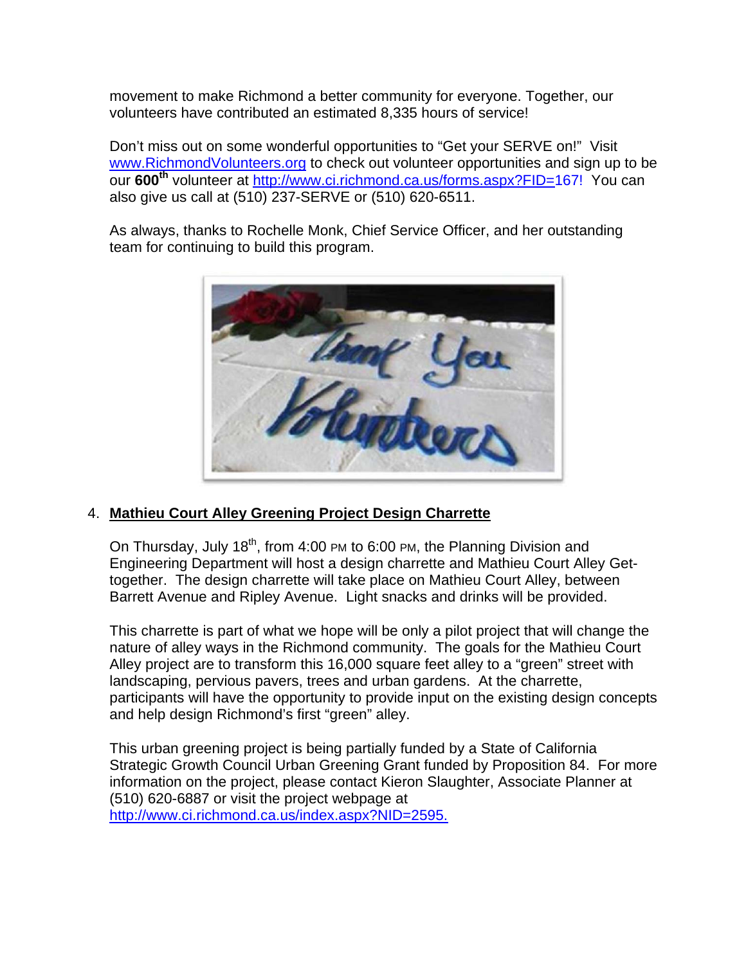movement to make Richmond a better community for everyone. Together, our volunteers have contributed an estimated 8,335 hours of service!

Don't miss out on some wonderful opportunities to "Get your SERVE on!" Visit www.RichmondVolunteers.org to check out volunteer opportunities and sign up to be our **600th** volunteer at http://www.ci.richmond.ca.us/forms.aspx?FID=167! You can also give us call at (510) 237-SERVE or (510) 620-6511.

As always, thanks to Rochelle Monk, Chief Service Officer, and her outstanding team for continuing to build this program.



## 4. **Mathieu Court Alley Greening Project Design Charrette**

On Thursday, July 18<sup>th</sup>, from 4:00 PM to 6:00 PM, the Planning Division and Engineering Department will host a design charrette and Mathieu Court Alley Gettogether. The design charrette will take place on Mathieu Court Alley, between Barrett Avenue and Ripley Avenue. Light snacks and drinks will be provided.

This charrette is part of what we hope will be only a pilot project that will change the nature of alley ways in the Richmond community. The goals for the Mathieu Court Alley project are to transform this 16,000 square feet alley to a "green" street with landscaping, pervious pavers, trees and urban gardens. At the charrette, participants will have the opportunity to provide input on the existing design concepts and help design Richmond's first "green" alley.

This urban greening project is being partially funded by a State of California Strategic Growth Council Urban Greening Grant funded by Proposition 84. For more information on the project, please contact Kieron Slaughter, Associate Planner at (510) 620-6887 or visit the project webpage at http://www.ci.richmond.ca.us/index.aspx?NID=2595.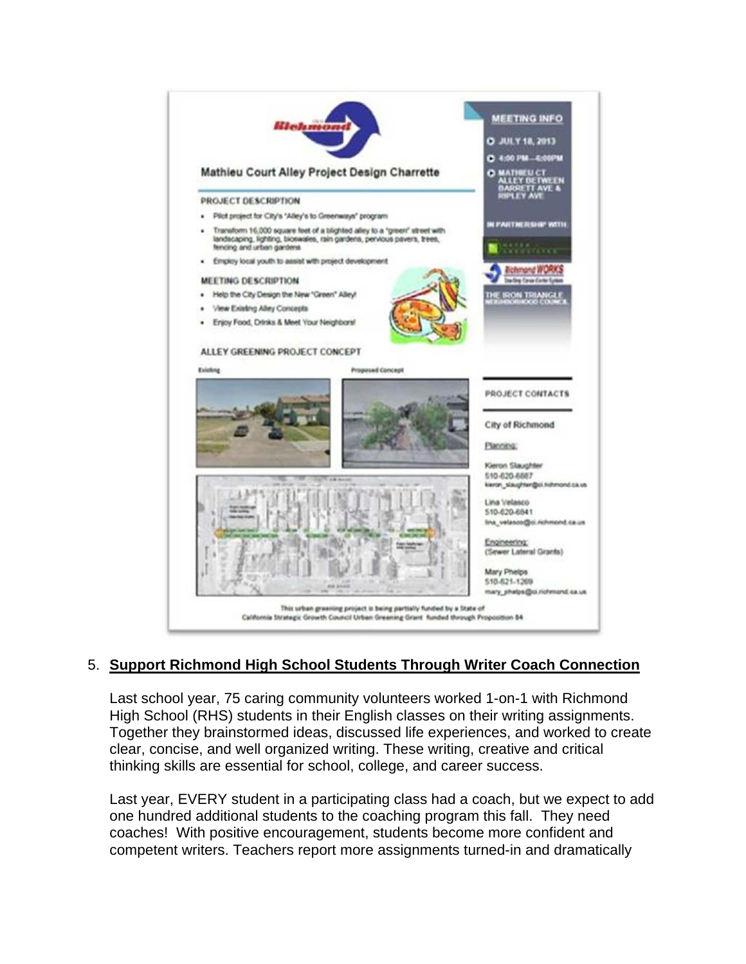

# 5. **Support Richmond High School Students Through Writer Coach Connection**

Last school year, 75 caring community volunteers worked 1-on-1 with Richmond High School (RHS) students in their English classes on their writing assignments. Together they brainstormed ideas, discussed life experiences, and worked to create clear, concise, and well organized writing. These writing, creative and critical thinking skills are essential for school, college, and career success.

Last year, EVERY student in a participating class had a coach, but we expect to add one hundred additional students to the coaching program this fall. They need coaches! With positive encouragement, students become more confident and competent writers. Teachers report more assignments turned-in and dramatically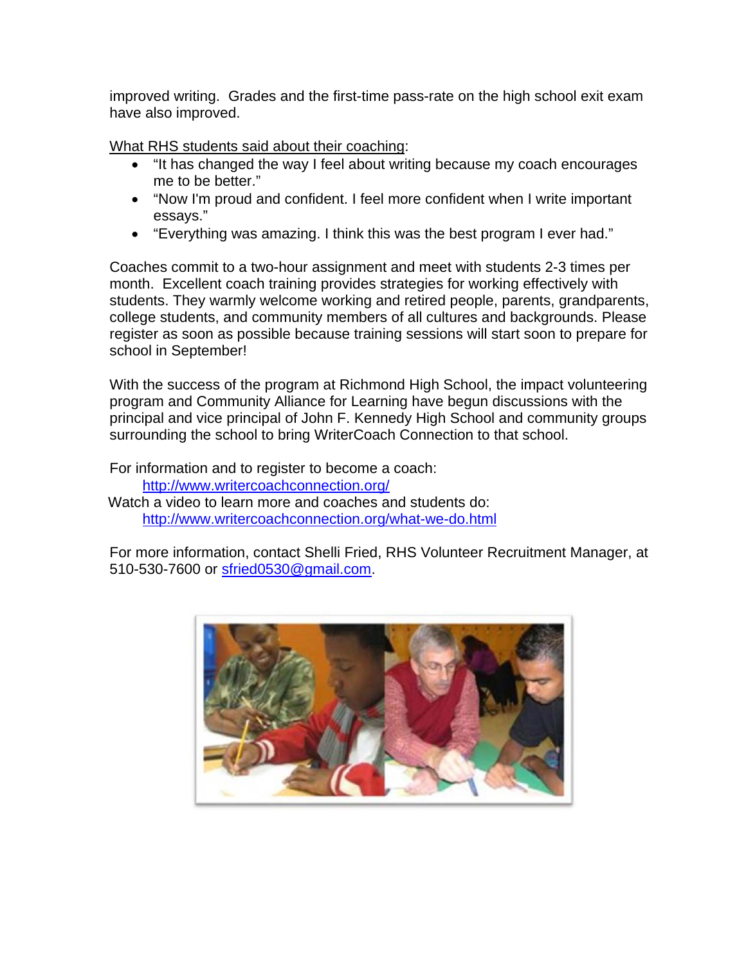improved writing. Grades and the first-time pass-rate on the high school exit exam have also improved.

What RHS students said about their coaching:

- "It has changed the way I feel about writing because my coach encourages me to be better."
- "Now I'm proud and confident. I feel more confident when I write important essays."
- "Everything was amazing. I think this was the best program I ever had."

Coaches commit to a two-hour assignment and meet with students 2-3 times per month. Excellent coach training provides strategies for working effectively with students. They warmly welcome working and retired people, parents, grandparents, college students, and community members of all cultures and backgrounds. Please register as soon as possible because training sessions will start soon to prepare for school in September!

With the success of the program at Richmond High School, the impact volunteering program and Community Alliance for Learning have begun discussions with the principal and vice principal of John F. Kennedy High School and community groups surrounding the school to bring WriterCoach Connection to that school.

For information and to register to become a coach: http://www.writercoachconnection.org/ Watch a video to learn more and coaches and students do: http://www.writercoachconnection.org/what-we-do.html

For more information, contact Shelli Fried, RHS Volunteer Recruitment Manager, at 510-530-7600 or sfried0530@gmail.com.

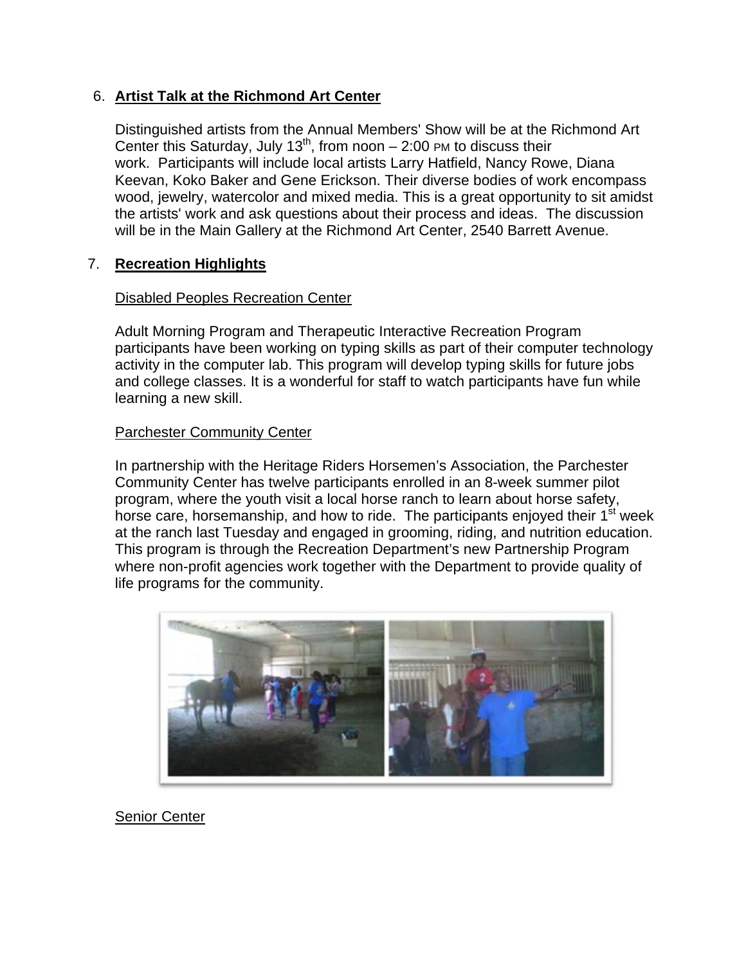## 6. **Artist Talk at the Richmond Art Center**

Distinguished artists from the Annual Members' Show will be at the Richmond Art Center this Saturday, July 13<sup>th</sup>, from noon  $-$  2:00 PM to discuss their work. Participants will include local artists Larry Hatfield, Nancy Rowe, Diana Keevan, Koko Baker and Gene Erickson. Their diverse bodies of work encompass wood, jewelry, watercolor and mixed media. This is a great opportunity to sit amidst the artists' work and ask questions about their process and ideas. The discussion will be in the Main Gallery at the Richmond Art Center, 2540 Barrett Avenue.

## 7. **Recreation Highlights**

## Disabled Peoples Recreation Center

Adult Morning Program and Therapeutic Interactive Recreation Program participants have been working on typing skills as part of their computer technology activity in the computer lab. This program will develop typing skills for future jobs and college classes. It is a wonderful for staff to watch participants have fun while learning a new skill.

## Parchester Community Center

In partnership with the Heritage Riders Horsemen's Association, the Parchester Community Center has twelve participants enrolled in an 8-week summer pilot program, where the youth visit a local horse ranch to learn about horse safety, horse care, horsemanship, and how to ride. The participants enjoyed their 1<sup>st</sup> week at the ranch last Tuesday and engaged in grooming, riding, and nutrition education. This program is through the Recreation Department's new Partnership Program where non-profit agencies work together with the Department to provide quality of life programs for the community.



Senior Center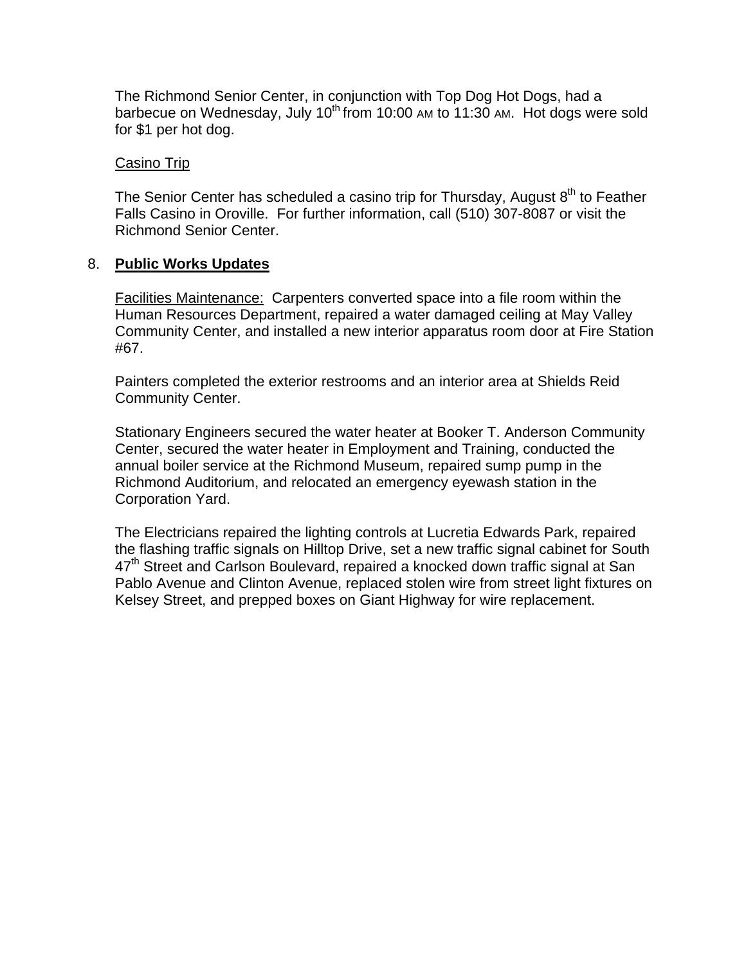The Richmond Senior Center, in conjunction with Top Dog Hot Dogs, had a barbecue on Wednesday, July  $10^{th}$  from 10:00 AM to 11:30 AM. Hot dogs were sold for \$1 per hot dog.

#### Casino Trip

The Senior Center has scheduled a casino trip for Thursday, August  $8<sup>th</sup>$  to Feather Falls Casino in Oroville. For further information, call (510) 307-8087 or visit the Richmond Senior Center.

## 8. **Public Works Updates**

Facilities Maintenance: Carpenters converted space into a file room within the Human Resources Department, repaired a water damaged ceiling at May Valley Community Center, and installed a new interior apparatus room door at Fire Station #67.

Painters completed the exterior restrooms and an interior area at Shields Reid Community Center.

Stationary Engineers secured the water heater at Booker T. Anderson Community Center, secured the water heater in Employment and Training, conducted the annual boiler service at the Richmond Museum, repaired sump pump in the Richmond Auditorium, and relocated an emergency eyewash station in the Corporation Yard.

The Electricians repaired the lighting controls at Lucretia Edwards Park, repaired the flashing traffic signals on Hilltop Drive, set a new traffic signal cabinet for South  $47<sup>th</sup>$  Street and Carlson Boulevard, repaired a knocked down traffic signal at San Pablo Avenue and Clinton Avenue, replaced stolen wire from street light fixtures on Kelsey Street, and prepped boxes on Giant Highway for wire replacement.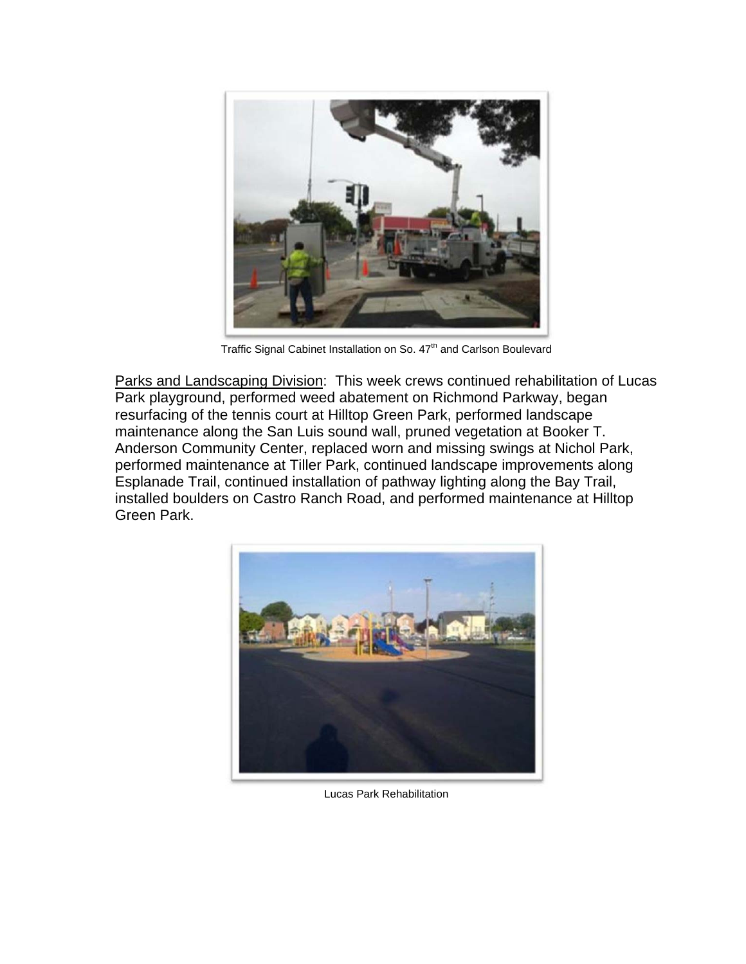

Traffic Signal Cabinet Installation on So.  $47<sup>th</sup>$  and Carlson Boulevard

Parks and Landscaping Division: This week crews continued rehabilitation of Lucas Park playground, performed weed abatement on Richmond Parkway, began resurfacing of the tennis court at Hilltop Green Park, performed landscape maintenance along the San Luis sound wall, pruned vegetation at Booker T. Anderson Community Center, replaced worn and missing swings at Nichol Park, performed maintenance at Tiller Park, continued landscape improvements along Esplanade Trail, continued installation of pathway lighting along the Bay Trail, installed boulders on Castro Ranch Road, and performed maintenance at Hilltop Green Park.



Lucas Park Rehabilitation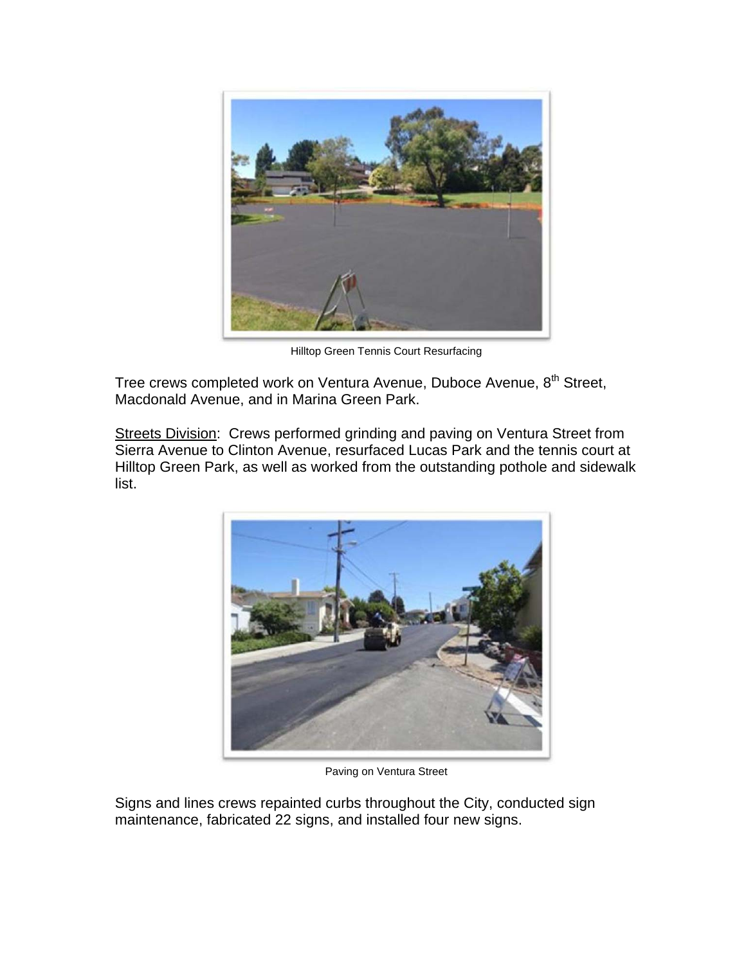

Hilltop Green Tennis Court Resurfacing

Tree crews completed work on Ventura Avenue, Duboce Avenue, 8<sup>th</sup> Street, Macdonald Avenue, and in Marina Green Park.

Streets Division: Crews performed grinding and paving on Ventura Street from Sierra Avenue to Clinton Avenue, resurfaced Lucas Park and the tennis court at Hilltop Green Park, as well as worked from the outstanding pothole and sidewalk list.



Paving on Ventura Street

Signs and lines crews repainted curbs throughout the City, conducted sign maintenance, fabricated 22 signs, and installed four new signs.